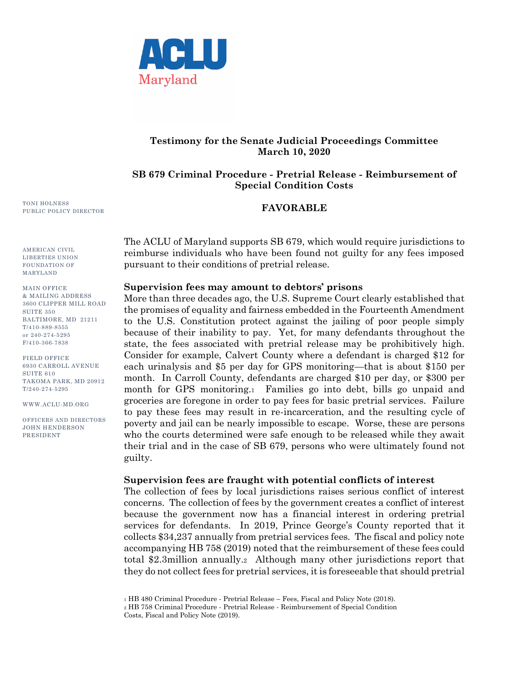

# **Testimony for the Senate Judicial Proceedings Committee March 10, 2020**

# **SB 679 Criminal Procedure - Pretrial Release - Reimbursement of Special Condition Costs**

### **FAVORABLE**

The ACLU of Maryland supports SB 679, which would require jurisdictions to reimburse individuals who have been found not guilty for any fees imposed pursuant to their conditions of pretrial release.

#### **Supervision fees may amount to debtors' prisons**

More than three decades ago, the U.S. Supreme Court clearly established that the promises of equality and fairness embedded in the Fourteenth Amendment to the U.S. Constitution protect against the jailing of poor people simply because of their inability to pay. Yet, for many defendants throughout the state, the fees associated with pretrial release may be prohibitively high. Consider for example, Calvert County where a defendant is charged \$12 for each urinalysis and \$5 per day for GPS monitoring—that is about \$150 per month. In Carroll County, defendants are charged \$10 per day, or \$300 per month for GPS monitoring.1 Families go into debt, bills go unpaid and groceries are foregone in order to pay fees for basic pretrial services. Failure to pay these fees may result in re-incarceration, and the resulting cycle of poverty and jail can be nearly impossible to escape. Worse, these are persons who the courts determined were safe enough to be released while they await their trial and in the case of SB 679, persons who were ultimately found not guilty.

### **Supervision fees are fraught with potential conflicts of interest**

The collection of fees by local jurisdictions raises serious conflict of interest concerns. The collection of fees by the government creates a conflict of interest because the government now has a financial interest in ordering pretrial services for defendants. In 2019, Prince George's County reported that it collects \$34,237 annually from pretrial services fees. The fiscal and policy note accompanying HB 758 (2019) noted that the reimbursement of these fees could total \$2.3million annually.2 Although many other jurisdictions report that they do not collect fees for pretrial services, it is foreseeable that should pretrial

TONI HOLNESS PUBLIC POLICY DIRECTOR

AMERICAN CIVIL LIBERTIES UNION FOUNDATION OF MARYLAND

MAIN OFFICE & MAILING ADDRESS 3600 CLIPPER MILL ROAD SUITE 350 BALTIMORE, MD 21211 T/410-889-8555 or 240-274-5295 F/410-366-7838

FIELD OFFICE 6930 CARROLL AVENUE SUITE<sub>610</sub> TAKOMA PARK, MD 20912 T/240-274-5295

WWW.ACLU-MD.ORG

OFFICERS AND DIRECTORS JOHN HENDERSON PRESIDENT

<sup>1</sup> HB 480 Criminal Procedure - Pretrial Release – Fees, Fiscal and Policy Note (2018).

<sup>2</sup> HB 758 Criminal Procedure - Pretrial Release - Reimbursement of Special Condition Costs, Fiscal and Policy Note (2019).